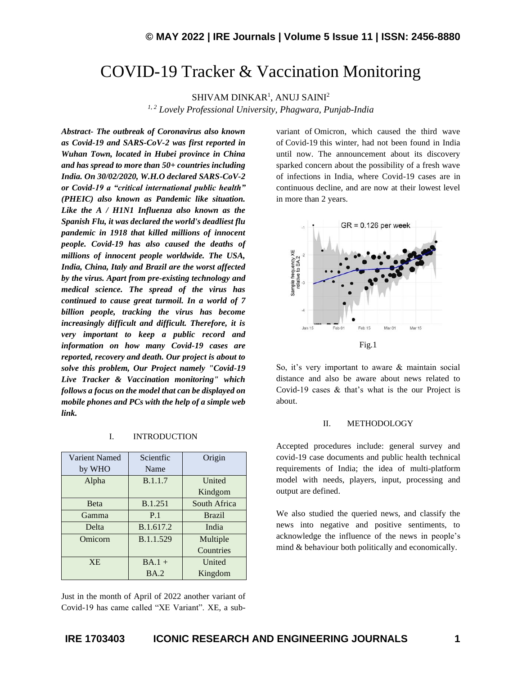# COVID-19 Tracker & Vaccination Monitoring

 $\rm SHIVAM$   $\rm DINKAR^1$ ,  $\rm ANUI$   $\rm SAINI^2$ 

*1, 2 Lovely Professional University, Phagwara, Punjab-India*

*Abstract- The outbreak of Coronavirus also known as Covid-19 and SARS-CoV-2 was first reported in Wuhan Town, located in Hubei province in China and has spread to more than 50+ countries including India. On 30/02/2020, W.H.O declared SARS-CoV-2 or Covid-19 a "critical international public health" (PHEIC) also known as Pandemic like situation. Like the A / H1N1 Influenza also known as the Spanish Flu, it was declared the world's deadliest flu pandemic in 1918 that killed millions of innocent people. Covid-19 has also caused the deaths of millions of innocent people worldwide. The USA, India, China, Italy and Brazil are the worst affected by the virus. Apart from pre-existing technology and medical science. The spread of the virus has continued to cause great turmoil. In a world of 7 billion people, tracking the virus has become increasingly difficult and difficult. Therefore, it is very important to keep a public record and information on how many Covid-19 cases are reported, recovery and death. Our project is about to solve this problem, Our Project namely "Covid-19 Live Tracker & Vaccination monitoring" which follows a focus on the model that can be displayed on mobile phones and PCs with the help of a simple web link.*

#### I. INTRODUCTION

| Varient Named | Scientfic      | Origin        |
|---------------|----------------|---------------|
| by WHO        | Name           |               |
| Alpha         | <b>B.1.1.7</b> | United        |
|               |                | Kindgom       |
| <b>Beta</b>   | B.1.251        | South Africa  |
| Gamma         | P.1            | <b>Brazil</b> |
| Delta         | B.1.617.2      | India         |
| Omicorn       | B.1.1.529      | Multiple      |
|               |                | Countries     |
| <b>XE</b>     | $BA.1 +$       | United        |
|               | <b>BA.2</b>    | Kingdom       |

Just in the month of April of 2022 another variant of Covid-19 has came called "XE Variant". XE, a subvariant of Omicron, which caused the third wave of Covid-19 this winter, had not been found in India until now. The announcement about its discovery sparked concern about the possibility of a fresh wave of infections in India, where Covid-19 cases are in continuous decline, and are now at their lowest level in more than 2 years.



So, it's very important to aware & maintain social distance and also be aware about news related to Covid-19 cases & that's what is the our Project is about.

#### II. METHODOLOGY

Accepted procedures include: general survey and covid-19 case documents and public health technical requirements of India; the idea of multi-platform model with needs, players, input, processing and output are defined.

We also studied the queried news, and classify the news into negative and positive sentiments, to acknowledge the influence of the news in people's mind & behaviour both politically and economically.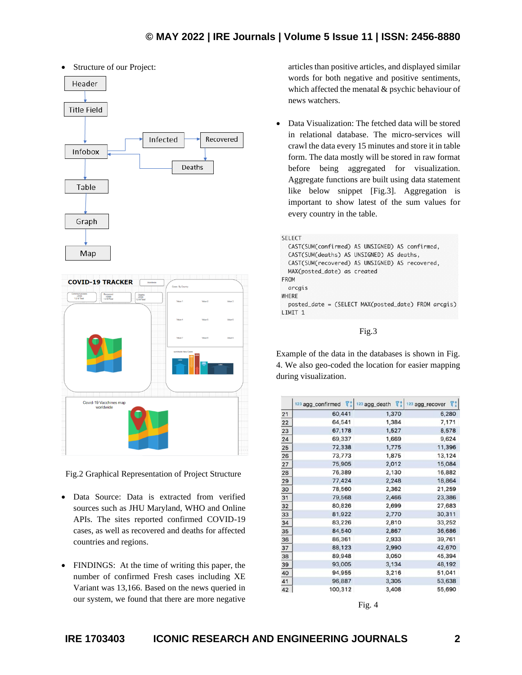

Fig.2 Graphical Representation of Project Structure

- Data Source: Data is extracted from verified sources such as JHU Maryland, WHO and Online APIs. The sites reported confirmed COVID-19 cases, as well as recovered and deaths for affected countries and regions.
- FINDINGS: At the time of writing this paper, the number of confirmed Fresh cases including XE Variant was 13,166. Based on the news queried in our system, we found that there are more negative

articles than positive articles, and displayed similar words for both negative and positive sentiments, which affected the menatal & psychic behaviour of news watchers.

• Data Visualization: The fetched data will be stored in relational database. The micro-services will crawl the data every 15 minutes and store it in table form. The data mostly will be stored in raw format before being aggregated for visualization. Aggregate functions are built using data statement like below snippet [Fig.3]. Aggregation is important to show latest of the sum values for every country in the table.

| <b>SELECT</b>                                       |
|-----------------------------------------------------|
| CAST(SUM(confirmed) AS UNSIGNED) AS confirmed,      |
| CAST(SUM(deaths) AS UNSIGNED) AS deaths,            |
| CAST(SUM(recovered) AS UNSIGNED) AS recovered,      |
| MAX(posted_date) as created                         |
| <b>FROM</b>                                         |
| arcgis                                              |
| WHERE                                               |
| posted_date = (SELECT MAX(posted_date) FROM arcgis) |
| LIMIT <sub>1</sub>                                  |

Fig.3

Example of the data in the databases is shown in Fig. 4. We also geo-coded the location for easier mapping during visualization.

|    | 123 agg_confirmed<br>7:1 | VI.<br>123 agg_death | 71<br>123 agg_recover |
|----|--------------------------|----------------------|-----------------------|
| 21 | 60,441                   | 1,370                | 6,280                 |
| 22 | 64,541                   | 1,384                | 7,171                 |
| 23 | 67,178                   | 1,527                | 8,578                 |
| 24 | 69,337                   | 1,669                | 9,624                 |
| 25 | 72,338                   | 1,775                | 11,396                |
| 26 | 73,773                   | 1,875                | 13,124                |
| 27 | 75,905                   | 2,012                | 15,084                |
| 28 | 76,389                   | 2,130                | 16,882                |
| 29 | 77,424                   | 2,248                | 18,864                |
| 30 | 78,560                   | 2,362                | 21,259                |
| 31 | 79,568                   | 2,466                | 23,386                |
| 32 | 80,826                   | 2,699                | 27,683                |
| 33 | 81,922                   | 2,770                | 30,311                |
| 34 | 83,226                   | 2,810                | 33,252                |
| 35 | 84,540                   | 2,867                | 36,686                |
| 36 | 86,361                   | 2,933                | 39,761                |
| 37 | 88,123                   | 2,990                | 42,670                |
| 38 | 89,948                   | 3,050                | 45,394                |
| 39 | 93,005                   | 3,134                | 48,192                |
| 40 | 94,955                   | 3,216                | 51,041                |
| 41 | 96,887                   | 3,305                | 53,638                |
| 42 | 100.312                  | 3.408                | 55.690                |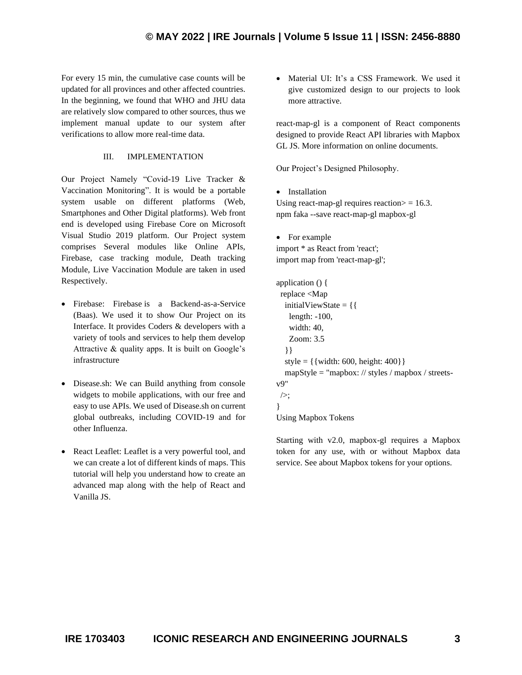For every 15 min, the cumulative case counts will be updated for all provinces and other affected countries. In the beginning, we found that WHO and JHU data are relatively slow compared to other sources, thus we implement manual update to our system after verifications to allow more real-time data.

### III. IMPLEMENTATION

Our Project Namely "Covid-19 Live Tracker & Vaccination Monitoring". It is would be a portable system usable on different platforms (Web, Smartphones and Other Digital platforms). Web front end is developed using Firebase Core on Microsoft Visual Studio 2019 platform. Our Project system comprises Several modules like Online APIs, Firebase, case tracking module, Death tracking Module, Live Vaccination Module are taken in used Respectively.

- Firebase: Firebase is a Backend-as-a-Service (Baas). We used it to show Our Project on its Interface. It provides Coders & developers with a variety of tools and services to help them develop Attractive & quality apps. It is built on Google's infrastructure
- Disease.sh: We can Build anything from console widgets to mobile applications, with our free and easy to use APIs. We used of Disease.sh on current global outbreaks, including COVID-19 and for other Influenza.
- React Leaflet: Leaflet is a very powerful tool, and we can create a lot of different kinds of maps. This tutorial will help you understand how to create an advanced map along with the help of React and Vanilla JS.

• Material UI: It's a CSS Framework. We used it give customized design to our projects to look more attractive.

react-map-gl is a component of React components designed to provide React API libraries with Mapbox GL JS. More information on online documents.

Our Project's Designed Philosophy.

• Installation

Using react-map-gl requires reaction $>$  = 16.3. npm faka --save react-map-gl mapbox-gl

• For example import \* as React from 'react'; import map from 'react-map-gl';

```
application () {
  replace <Map
   initialViewState = {{
    length: -100,
    width: 40,
    Zoom: 3.5
   }}
  style = \{ { width: 600, height: 400}}
   mapStyle = "mapbox: // styles / mapbox / streets-
v9"
\geq:
}
Using Mapbox Tokens
```
Starting with v2.0, mapbox-gl requires a Mapbox token for any use, with or without Mapbox data service. See about Mapbox tokens for your options.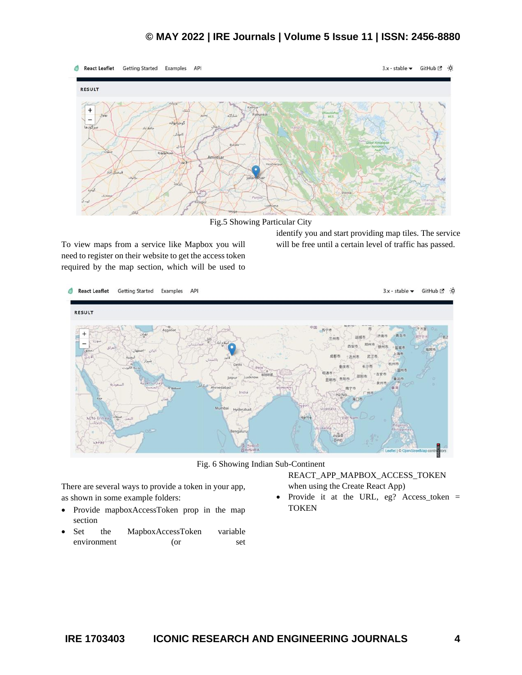## **© MAY 2022 | IRE Journals | Volume 5 Issue 11 | ISSN: 2456-8880**



Fig.5 Showing Particular City

To view maps from a service like Mapbox you will need to register on their website to get the access token required by the map section, which will be used to

identify you and start providing map tiles. The service will be free until a certain level of traffic has passed.



Fig. 6 Showing Indian Sub-Continent

There are several ways to provide a token in your app, as shown in some example folders:

- Provide mapboxAccessToken prop in the map section
- Set the MapboxAccessToken variable environment (or set

REACT\_APP\_MAPBOX\_ACCESS\_TOKEN when using the Create React App)

Provide it at the URL, eg? Access\_token = **TOKEN**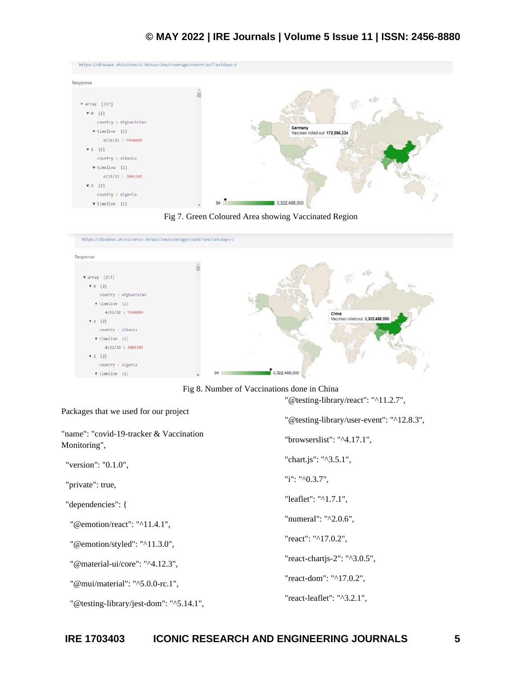| https://disease.sh/v3/covid-19/vaccine/coverage/countries?lastdays=1 |    |                                            |
|----------------------------------------------------------------------|----|--------------------------------------------|
| Response                                                             |    |                                            |
|                                                                      |    |                                            |
| <b>v</b> array [217]                                                 |    |                                            |
| $\mathbf{v} \; 0 \; \{2\}$                                           |    |                                            |
| country : Afghanistan                                                |    |                                            |
| $\blacktriangledown$ timeline {1}                                    |    | Germany<br>Vaccines rolled out 172,594,234 |
| 4/22/22 : 5948889                                                    |    |                                            |
| $\Pi$ 1 $\{2\}$                                                      |    |                                            |
| country : Albania                                                    |    |                                            |
| $\mathbf v$ timeline $\{1\}$                                         |    |                                            |
| 4/22/22 : 2801345                                                    |    |                                            |
| $-2$ ${2}$                                                           |    |                                            |
| country : Algeria                                                    |    |                                            |
| $\blacktriangledown$ timeline {1}                                    | 94 | 3,322,488,000                              |





Fig 8. Number of Vaccinations done in China

"@testing-library/react": "^11.2.7",

| Packages that we used for our project                    | "@testing-library/user-event": "^12.8.3", |
|----------------------------------------------------------|-------------------------------------------|
| "name": "covid-19-tracker & Vaccination"<br>Monitoring", | "browserslist": " $\textdegree$ 4.17.1",  |
| "version": "0.1.0",                                      | "chart.js": "^3.5.1",                     |
| "private": true,                                         | "i": " $^{\prime\prime}$ 0.3.7",          |
| "dependencies": {                                        | "leaflet": "^1.7.1",                      |
| "@emotion/react": "^11.4.1",                             | "numeral": "^2.0.6",                      |
| "@emotion/styled": "^11.3.0",                            | "react": "^17.0.2",                       |
| "@material-ui/core": "^4.12.3",                          | "react-chartjs-2": "^3.0.5",              |
| "@mui/material": "^5.0.0-rc.1",                          | "react-dom": "^17.0.2",                   |
| "@testing-library/jest-dom": "^5.14.1",                  | "react-leaflet": "^3.2.1",                |
|                                                          |                                           |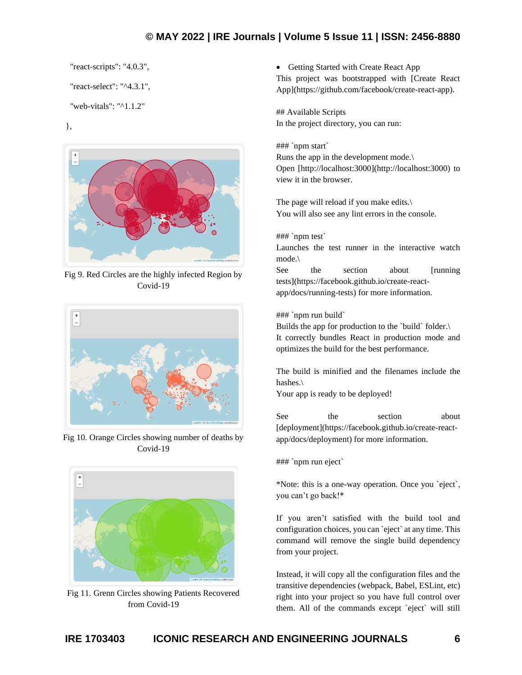# **© MAY 2022 | IRE Journals | Volume 5 Issue 11 | ISSN: 2456-8880**

"react-scripts": "4.0.3",

"react-select": "^4.3.1",

```
 "web-vitals": "^1.1.2"
```
},



Fig 9. Red Circles are the highly infected Region by Covid-19



Fig 10. Orange Circles showing number of deaths by Covid-19



Fig 11. Grenn Circles showing Patients Recovered from Covid-19

• Getting Started with Create React App

This project was bootstrapped with [Create React App](https://github.com/facebook/create-react-app).

## Available Scripts In the project directory, you can run:

### `npm start`

Runs the app in the development mode.\ Open [http://localhost:3000](http://localhost:3000) to view it in the browser.

The page will reload if you make edits.\ You will also see any lint errors in the console.

### `npm test`

Launches the test runner in the interactive watch mode.\

See the section about [running] tests](https://facebook.github.io/create-reactapp/docs/running-tests) for more information.

### `npm run build`

Builds the app for production to the `build` folder.\ It correctly bundles React in production mode and optimizes the build for the best performance.

The build is minified and the filenames include the hashes.\

Your app is ready to be deployed!

See the section about [deployment](https://facebook.github.io/create-reactapp/docs/deployment) for more information.

### `npm run eject`

\*Note: this is a one-way operation. Once you `eject`, you can't go back!\*

If you aren't satisfied with the build tool and configuration choices, you can `eject` at any time. This command will remove the single build dependency from your project.

Instead, it will copy all the configuration files and the transitive dependencies (webpack, Babel, ESLint, etc) right into your project so you have full control over them. All of the commands except `eject` will still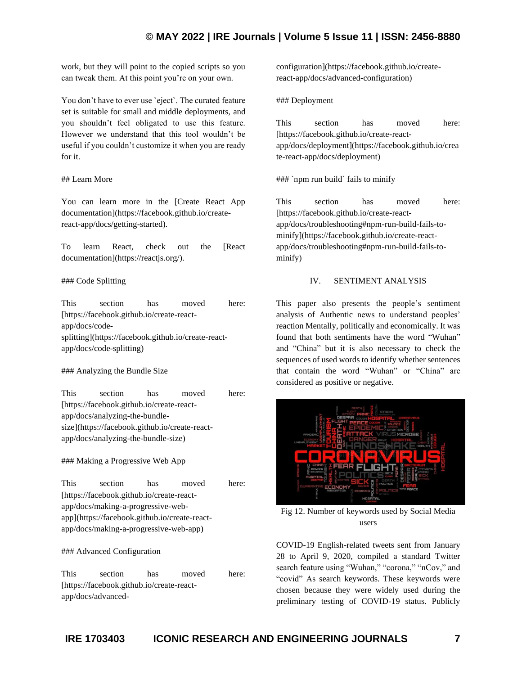# **© MAY 2022 | IRE Journals | Volume 5 Issue 11 | ISSN: 2456-8880**

work, but they will point to the copied scripts so you can tweak them. At this point you're on your own.

You don't have to ever use `eject`. The curated feature set is suitable for small and middle deployments, and you shouldn't feel obligated to use this feature. However we understand that this tool wouldn't be useful if you couldn't customize it when you are ready for it.

#### ## Learn More

You can learn more in the [Create React App documentation](https://facebook.github.io/createreact-app/docs/getting-started).

To learn React, check out the [React documentation](https://reactjs.org/).

#### ### Code Splitting

This section has moved here: [https://facebook.github.io/create-reactapp/docs/codesplitting](https://facebook.github.io/create-reactapp/docs/code-splitting)

### Analyzing the Bundle Size

This section has moved here: [https://facebook.github.io/create-reactapp/docs/analyzing-the-bundlesize](https://facebook.github.io/create-reactapp/docs/analyzing-the-bundle-size)

#### ### Making a Progressive Web App

This section has moved here: [https://facebook.github.io/create-reactapp/docs/making-a-progressive-webapp](https://facebook.github.io/create-reactapp/docs/making-a-progressive-web-app)

#### ### Advanced Configuration

This section has moved here: [https://facebook.github.io/create-reactapp/docs/advancedconfiguration](https://facebook.github.io/createreact-app/docs/advanced-configuration)

### Deployment

This section has moved here: [https://facebook.github.io/create-reactapp/docs/deployment](https://facebook.github.io/crea te-react-app/docs/deployment)

### `npm run build` fails to minify

This section has moved here: [https://facebook.github.io/create-reactapp/docs/troubleshooting#npm-run-build-fails-tominify](https://facebook.github.io/create-reactapp/docs/troubleshooting#npm-run-build-fails-tominify)

#### IV. SENTIMENT ANALYSIS

This paper also presents the people's sentiment analysis of Authentic news to understand peoples' reaction Mentally, politically and economically. It was found that both sentiments have the word "Wuhan" and "China" but it is also necessary to check the sequences of used words to identify whether sentences that contain the word "Wuhan" or "China" are considered as positive or negative.



Fig 12. Number of keywords used by Social Media users

COVID-19 English-related tweets sent from January 28 to April 9, 2020, compiled a standard Twitter search feature using "Wuhan," "corona," "nCov," and "covid" As search keywords. These keywords were chosen because they were widely used during the preliminary testing of COVID-19 status. Publicly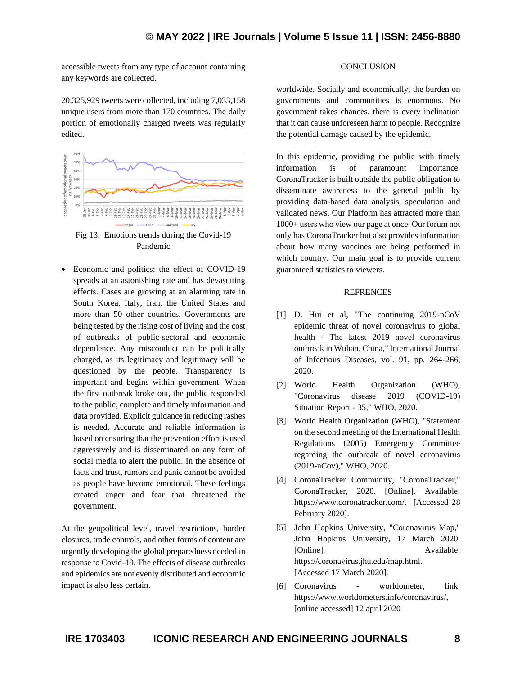accessible tweets from any type of account containing any keywords are collected.

20,325,929 tweets were collected, including 7,033,158 unique users from more than 170 countries. The daily portion of emotionally charged tweets was regularly edited.



Fig 13. Emotions trends during the Covid-19 Pandemic

• Economic and politics: the effect of COVID-19 spreads at an astonishing rate and has devastating effects. Cases are growing at an alarming rate in South Korea, Italy, Iran, the United States and more than 50 other countries. Governments are being tested by the rising cost of living and the cost of outbreaks of public-sectoral and economic dependence. Any misconduct can be politically charged, as its legitimacy and legitimacy will be questioned by the people. Transparency is important and begins within government. When the first outbreak broke out, the public responded to the public, complete and timely information and data provided. Explicit guidance in reducing rashes is needed. Accurate and reliable information is based on ensuring that the prevention effort is used aggressively and is disseminated on any form of social media to alert the public. In the absence of facts and trust, rumors and panic cannot be avoided as people have become emotional. These feelings created anger and fear that threatened the government.

At the geopolitical level, travel restrictions, border closures, trade controls, and other forms of content are urgently developing the global preparedness needed in response to Covid-19. The effects of disease outbreaks and epidemics are not evenly distributed and economic impact is also less certain.

### **CONCLUSION**

worldwide. Socially and economically, the burden on governments and communities is enormous. No government takes chances. there is every inclination that it can cause unforeseen harm to people. Recognize the potential damage caused by the epidemic.

In this epidemic, providing the public with timely information is of paramount importance. CoronaTracker is built outside the public obligation to disseminate awareness to the general public by providing data-based data analysis, speculation and validated news. Our Platform has attracted more than 1000+ users who view our page at once. Our forum not only has CoronaTracker but also provides information about how many vaccines are being performed in which country. Our main goal is to provide current guaranteed statistics to viewers.

### REFRENCES

- [1] D. Hui et al, "The continuing 2019-nCoV epidemic threat of novel coronavirus to global health - The latest 2019 novel coronavirus outbreak in Wuhan, China," International Journal of Infectious Diseases, vol. 91, pp. 264-266, 2020.
- [2] World Health Organization (WHO), "Coronavirus disease 2019 (COVID-19) Situation Report - 35," WHO, 2020.
- [3] World Health Organization (WHO), "Statement on the second meeting of the International Health Regulations (2005) Emergency Committee regarding the outbreak of novel coronavirus (2019-nCov)," WHO, 2020.
- [4] CoronaTracker Community, "CoronaTracker," CoronaTracker, 2020. [Online]. Available: https://www.coronatracker.com/. [Accessed 28 February 2020].
- [5] John Hopkins University, "Coronavirus Map," John Hopkins University, 17 March 2020. [Online]. Available: https://coronavirus.jhu.edu/map.html. [Accessed 17 March 2020].
- [6] Coronavirus worldometer, link: https://www.worldometers.info/coronavirus/, [online accessed] 12 april 2020